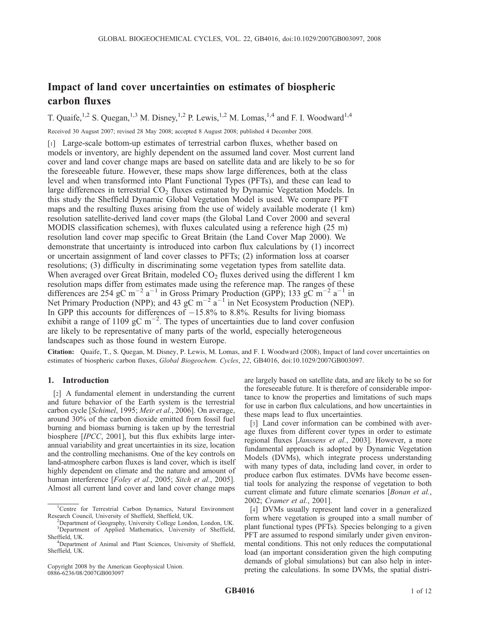# Impact of land cover uncertainties on estimates of biospheric carbon fluxes

T. Quaife, <sup>1,2</sup> S. Quegan, <sup>1,3</sup> M. Disney, <sup>1,2</sup> P. Lewis, <sup>1,2</sup> M. Lomas, <sup>1,4</sup> and F. I. Woodward<sup>1,4</sup>

Received 30 August 2007; revised 28 May 2008; accepted 8 August 2008; published 4 December 2008.

[1] Large-scale bottom-up estimates of terrestrial carbon fluxes, whether based on models or inventory, are highly dependent on the assumed land cover. Most current land cover and land cover change maps are based on satellite data and are likely to be so for the foreseeable future. However, these maps show large differences, both at the class level and when transformed into Plant Functional Types (PFTs), and these can lead to large differences in terrestrial  $CO<sub>2</sub>$  fluxes estimated by Dynamic Vegetation Models. In this study the Sheffield Dynamic Global Vegetation Model is used. We compare PFT maps and the resulting fluxes arising from the use of widely available moderate (1 km) resolution satellite-derived land cover maps (the Global Land Cover 2000 and several MODIS classification schemes), with fluxes calculated using a reference high (25 m) resolution land cover map specific to Great Britain (the Land Cover Map 2000). We demonstrate that uncertainty is introduced into carbon flux calculations by (1) incorrect or uncertain assignment of land cover classes to PFTs; (2) information loss at coarser resolutions; (3) difficulty in discriminating some vegetation types from satellite data. When averaged over Great Britain, modeled  $CO<sub>2</sub>$  fluxes derived using the different 1 km resolution maps differ from estimates made using the reference map. The ranges of these differences are 254 gC m<sup>-2</sup> a<sup>-1</sup> in Gross Primary Production (GPP); 133 gC m<sup>-2</sup> a<sup>-1</sup> in Net Primary Production (NPP); and 43 gC m<sup>-2</sup>  $a^{-1}$  in Net Ecosystem Production (NEP). In GPP this accounts for differences of  $-15.8\%$  to 8.8%. Results for living biomass exhibit a range of 1109 gC m<sup>-2</sup>. The types of uncertainties due to land cover confusion are likely to be representative of many parts of the world, especially heterogeneous landscapes such as those found in western Europe.

Citation: Quaife, T., S. Quegan, M. Disney, P. Lewis, M. Lomas, and F. I. Woodward (2008), Impact of land cover uncertainties on estimates of biospheric carbon fluxes, Global Biogeochem. Cycles, 22, GB4016, doi:10.1029/2007GB003097.

# 1. Introduction

[2] A fundamental element in understanding the current and future behavior of the Earth system is the terrestrial carbon cycle [Schimel, 1995; Meir et al., 2006]. On average, around 30% of the carbon dioxide emitted from fossil fuel burning and biomass burning is taken up by the terrestrial biosphere [IPCC, 2001], but this flux exhibits large interannual variability and great uncertainties in its size, location and the controlling mechanisms. One of the key controls on land-atmosphere carbon fluxes is land cover, which is itself highly dependent on climate and the nature and amount of human interference [Foley et al., 2005; Sitch et al., 2005]. Almost all current land cover and land cover change maps

Copyright 2008 by the American Geophysical Union. 0886-6236/08/2007GB003097

are largely based on satellite data, and are likely to be so for the foreseeable future. It is therefore of considerable importance to know the properties and limitations of such maps for use in carbon flux calculations, and how uncertainties in these maps lead to flux uncertainties.

[3] Land cover information can be combined with average fluxes from different cover types in order to estimate regional fluxes [Janssens et al., 2003]. However, a more fundamental approach is adopted by Dynamic Vegetation Models (DVMs), which integrate process understanding with many types of data, including land cover, in order to produce carbon flux estimates. DVMs have become essential tools for analyzing the response of vegetation to both current climate and future climate scenarios [Bonan et al., 2002; Cramer et al., 2001].

[4] DVMs usually represent land cover in a generalized form where vegetation is grouped into a small number of plant functional types (PFTs). Species belonging to a given PFT are assumed to respond similarly under given environmental conditions. This not only reduces the computational load (an important consideration given the high computing demands of global simulations) but can also help in interpreting the calculations. In some DVMs, the spatial distri-

<sup>&</sup>lt;sup>1</sup>Centre for Terrestrial Carbon Dynamics, Natural Environment Research Council, University of Sheffield, Sheffield, UK. <sup>2</sup>

<sup>&</sup>lt;sup>2</sup>Department of Geography, University College London, London, UK. <sup>3</sup>Department of Applied Mathematics, University of Sheffield, Sheffield, UK. <sup>4</sup>

<sup>&</sup>lt;sup>4</sup>Department of Animal and Plant Sciences, University of Sheffield, Sheffield, UK.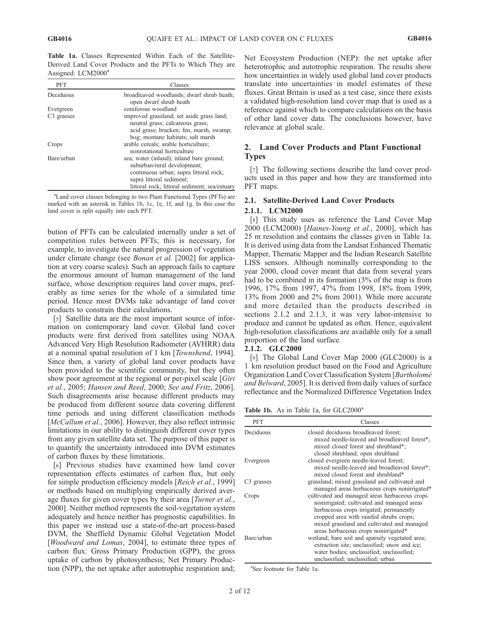Table 1a. Classes Represented Within Each of the Satellite-Derived Land Cover Products and the PFTs to Which They are Assigned: LCM2000<sup>a</sup>

| <b>PFT</b>             | Classes                                                                       |
|------------------------|-------------------------------------------------------------------------------|
| Deciduous              | broadleaved woodlands; dwarf shrub heath;<br>open dwarf shrub heath           |
| Evergreen              | coniferous woodland                                                           |
| C <sub>3</sub> grasses | improved grassland; set aside grass land;<br>neutral grass; calcareous grass; |
|                        | acid grass; bracken; fen, marsh, swamp;<br>bog; montane habitats; salt marsh  |
| Crops                  | arable cereals; arable horticulture;<br>nonrotational horticulture            |
| Bare/urban             | sea; water (inland); inland bare ground;<br>suburban/rural development;       |
|                        | continuous urban; supra littoral rock;                                        |
|                        | supra littoral sediment;                                                      |
|                        | littoral rock; littoral sediment; sea/estuary                                 |

<sup>a</sup>Land cover classes belonging to two Plant Functional Types (PFTs) are marked with an asterisk in Tables 1b, 1c, 1e, 1f, and 1g. In this case the land cover is split equally into each PFT.

bution of PFTs can be calculated internally under a set of competition rules between PFTs; this is necessary, for example, to investigate the natural progression of vegetation under climate change (see *Bonan et al.* [2002] for application at very coarse scales). Such an approach fails to capture the enormous amount of human management of the land surface, whose description requires land cover maps, preferably as time series for the whole of a simulated time period. Hence most DVMs take advantage of land cover products to constrain their calculations.

[5] Satellite data are the most important source of information on contemporary land cover. Global land cover products were first derived from satellites using NOAA Advanced Very High Resolution Radiometer (AVHRR) data at a nominal spatial resolution of 1 km [Townshend, 1994]. Since then, a variety of global land cover products have been provided to the scientific community, but they often show poor agreement at the regional or per-pixel scale [Giri et al., 2005; Hansen and Reed, 2000; See and Fritz, 2006]. Such disagreements arise because different products may be produced from different source data covering different time periods and using different classification methods [McCallum et al., 2006]. However, they also reflect intrinsic limitations in our ability to distinguish different cover types from any given satellite data set. The purpose of this paper is to quantify the uncertainty introduced into DVM estimates of carbon fluxes by these limitations.

[6] Previous studies have examined how land cover representation effects estimates of carbon flux, but only for simple production efficiency models [Reich et al., 1999] or methods based on multiplying empirically derived average fluxes for given cover types by their area [Turner et al., 2000]. Neither method represents the soil-vegetation system adequately and hence neither has prognostic capabilities. In this paper we instead use a state-of-the-art process-based DVM, the Sheffield Dynamic Global Vegetation Model [Woodward and Lomas, 2004], to estimate three types of carbon flux: Gross Primary Production (GPP), the gross uptake of carbon by photosynthesis; Net Primary Production (NPP), the net uptake after autotrophic respiration and;

Net Ecosystem Production (NEP): the net uptake after heterotrophic and autotrophic respiration. The results show how uncertainties in widely used global land cover products translate into uncertainties in model estimates of these fluxes. Great Britain is used as a test case, since there exists a validated high-resolution land cover map that is used as a reference against which to compare calculations on the basis of other land cover data. The conclusions however, have relevance at global scale.

# 2. Land Cover Products and Plant Functional Types

[7] The following sections describe the land cover products used in this paper and how they are transformed into PFT maps.

# 2.1. Satellite-Derived Land Cover Products

# 2.1.1. LCM2000

[8] This study uses as reference the Land Cover Map 2000 (LCM2000) [Haines-Young et al., 2000], which has 25 m resolution and contains the classes given in Table 1a. It is derived using data from the Landsat Enhanced Thematic Mapper, Thematic Mapper and the Indian Research Satellite LISS sensors. Although nominally corresponding to the year 2000, cloud cover meant that data from several years had to be combined in its formation (3% of the map is from 1996, 17% from 1997, 47% from 1998, 18% from 1999, 13% from 2000 and 2% from 2001). While more accurate and more detailed than the products described in sections 2.1.2 and 2.1.3, it was very labor-intensive to produce and cannot be updated as often. Hence, equivalent high-resolution classifications are available only for a small proportion of the land surface.

### 2.1.2. GLC2000

[9] The Global Land Cover Map 2000 (GLC2000) is a 1 km resolution product based on the Food and Agriculture Organization Land Cover Classification System [Bartholomé] and Belward, 2005]. It is derived from daily values of surface reflectance and the Normalized Difference Vegetation Index

Table 1b. As in Table 1a, for GLC2000<sup>a</sup>

| <b>PFT</b>             | Classes                                                                                                                                                                                                                                                                 |
|------------------------|-------------------------------------------------------------------------------------------------------------------------------------------------------------------------------------------------------------------------------------------------------------------------|
| Deciduous              | closed deciduous broadleaved forest;<br>mixed needle-leaved and broadleaved forest*;<br>mixed closed forest and shrubland*;<br>closed shrubland; open shrubland                                                                                                         |
| Evergreen              | closed evergreen needle-leaved forest;<br>mixed needle-leaved and broadleaved forest*;<br>mixed closed forest and shrubland*                                                                                                                                            |
| C <sub>3</sub> grasses | grassland; mixed grassland and cultivated and<br>managed areas herbaceous crops nonirrigated*                                                                                                                                                                           |
| Crops                  | cultivated and managed areas herbaceous crops<br>nonirrigated; cultivated and managed areas<br>herbaceous crops irrigated; permanently<br>cropped area with rainfed shrubs crops;<br>mixed grassland and cultivated and managed<br>areas herbaceous crops nonirrigated* |
| Bare/urban             | wetland; bare soil and sparsely vegetated area;<br>extraction site; unclassified; snow and ice;<br>water bodies; unclassified; unclassified;<br>unclassified; unclassified; urban                                                                                       |

a See footnote for Table 1a.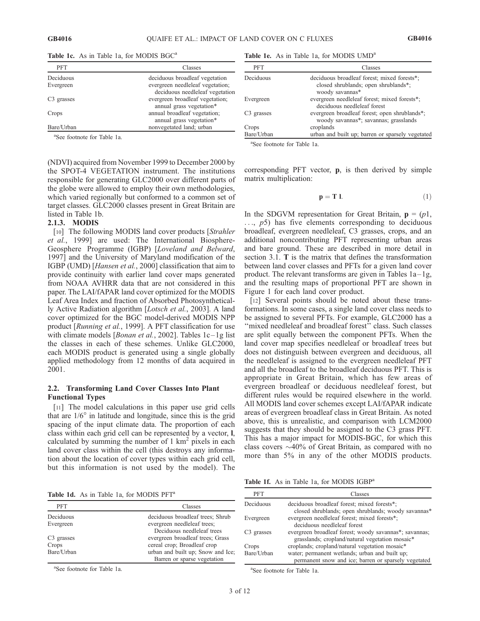| PFT                    | Classes                                                            |
|------------------------|--------------------------------------------------------------------|
| Deciduous              | deciduous broadleaf vegetation                                     |
| Evergreen              | evergreen needleleaf vegetation;                                   |
| C <sub>3</sub> grasses | deciduous needleleaf vegetation<br>evergreen broadleaf vegetation; |
|                        | annual grass vegetation*                                           |
| Crops                  | annual broadleaf vegetation;                                       |
|                        | annual grass vegetation*                                           |
| Bare/Urban             | nonvegetated land; urban                                           |

Table 1c. As in Table 1a, for MODIS BGC<sup>a</sup>

a See footnote for Table 1a.

(NDVI) acquired from November 1999 to December 2000 by the SPOT-4 VEGETATION instrument. The institutions responsible for generating GLC2000 over different parts of the globe were allowed to employ their own methodologies, which varied regionally but conformed to a common set of target classes. GLC2000 classes present in Great Britain are listed in Table 1b.

#### 2.1.3. MODIS

[10] The following MODIS land cover products [Strahler] et al., 1999] are used: The International Biosphere-Geosphere Programme (IGBP) [Loveland and Belward, 1997] and the University of Maryland modification of the IGBP (UMD) [Hansen et al., 2000] classification that aim to provide continuity with earlier land cover maps generated from NOAA AVHRR data that are not considered in this paper. The LAI/fAPAR land cover optimized for the MODIS Leaf Area Index and fraction of Absorbed Photosynthetically Active Radiation algorithm [Lotsch et al., 2003]. A land cover optimized for the BGC model-derived MODIS NPP product [Running et al., 1999]. A PFT classification for use with climate models [*Bonan et al.*, 2002]. Tables  $1c-1g$  list the classes in each of these schemes. Unlike GLC2000, each MODIS product is generated using a single globally applied methodology from 12 months of data acquired in 2001.

### 2.2. Transforming Land Cover Classes Into Plant Functional Types

[11] The model calculations in this paper use grid cells that are  $1/6^{\circ}$  in latitude and longitude, since this is the grid spacing of the input climate data. The proportion of each class within each grid cell can be represented by a vector, l, calculated by summing the number of  $1 \text{ km}^2$  pixels in each land cover class within the cell (this destroys any information about the location of cover types within each grid cell, but this information is not used by the model). The

Table 1d. As in Table 1a, for MODIS PFT<sup>a</sup>

PFT Classes Deciduous deciduous broadleaf trees; Shrub Evergreen evergreen needleleaf trees; Deciduous needleleaf trees C3 grasses evergreen broadleaf trees; Grass Crops cereal crop; Broadleaf crop Bare/Urban urban and built up; Snow and Ice;

Barren or sparse vegetation

a See footnote for Table 1a.

Table 1e. As in Table 1a, for MODIS UMD<sup>a</sup>

| PFT                    | Classes                                                                                                |
|------------------------|--------------------------------------------------------------------------------------------------------|
| Deciduous              | deciduous broadleaf forest; mixed forests*;<br>closed shrublands; open shrublands*;<br>woody savannas* |
| Evergreen              | evergreen needleleaf forest; mixed forests*;<br>deciduous needleleaf forest                            |
| C <sub>3</sub> grasses | evergreen broadleaf forest; open shrublands*;<br>woody savannas*; savannas; grasslands                 |
| Crops                  | croplands                                                                                              |
| Bare/Urban             | urban and built up; barren or sparsely vegetated                                                       |

a See footnote for Table 1a.

corresponding PFT vector, p, is then derived by simple matrix multiplication:

$$
\mathbf{p} = \mathbf{T} \mathbf{1}.\tag{1}
$$

In the SDGVM representation for Great Britain,  $\mathbf{p} = (p_1, p_2, \dots, p_n)$  $...,$   $p5)$  has five elements corresponding to deciduous broadleaf, evergreen needleleaf, C3 grasses, crops, and an additional noncontributing PFT representing urban areas and bare ground. These are described in more detail in section 3.1. T is the matrix that defines the transformation between land cover classes and PFTs for a given land cover product. The relevant transforms are given in Tables  $1a-1g$ , and the resulting maps of proportional PFT are shown in Figure 1 for each land cover product.

[12] Several points should be noted about these transformations. In some cases, a single land cover class needs to be assigned to several PFTs. For example, GLC2000 has a "mixed needleleaf and broadleaf forest" class. Such classes are split equally between the component PFTs. When the land cover map specifies needleleaf or broadleaf trees but does not distinguish between evergreen and deciduous, all the needleleaf is assigned to the evergreen needleleaf PFT and all the broadleaf to the broadleaf deciduous PFT. This is appropriate in Great Britain, which has few areas of evergreen broadleaf or deciduous needleleaf forest, but different rules would be required elsewhere in the world. All MODIS land cover schemes except LAI/fAPAR indicate areas of evergreen broadleaf class in Great Britain. As noted above, this is unrealistic, and comparison with LCM2000 suggests that they should be assigned to the C3 grass PFT. This has a major impact for MODIS-BGC, for which this class covers  $\sim$ 40% of Great Britain, as compared with no more than 5% in any of the other MODIS products.

Table 1f. As in Table 1a, for MODIS IGBP<sup>a</sup>

| <b>PFT</b>   | Classes                                                                                                   |
|--------------|-----------------------------------------------------------------------------------------------------------|
| Deciduous    | deciduous broadleaf forest; mixed forests*;<br>closed shrublands; open shrublands; woody savannas*        |
| Evergreen    | evergreen needleleaf forest; mixed forests*;<br>deciduous needleleaf forest                               |
| $C3$ grasses | evergreen broadleaf forest; woody savannas*; savannas;<br>grasslands; cropland/natural vegetation mosaic* |
| Crops        | croplands; cropland/natural vegetation mosaic*                                                            |
| Bare/Urban   | water; permanent wetlands; urban and built up;<br>permanent snow and ice; barren or sparsely vegetated    |

a See footnote for Table 1a.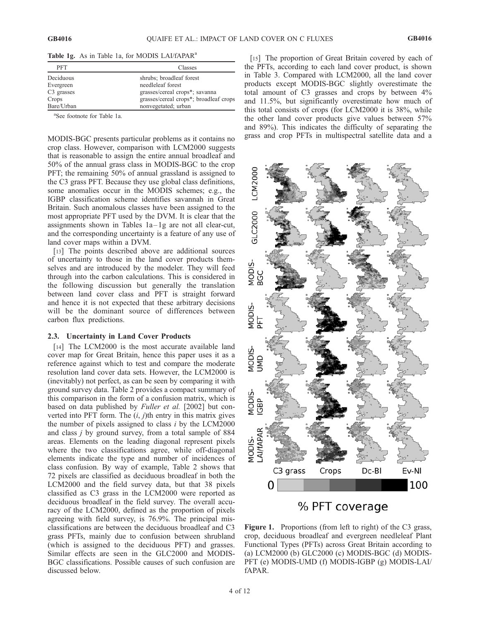Table 1g. As in Table 1a, for MODIS LAI/fAPAR<sup>a</sup>

| <b>PFT</b>             | Classes                                |
|------------------------|----------------------------------------|
| Deciduous              | shrubs; broadleaf forest               |
| Evergreen              | needleleaf forest                      |
| C <sub>3</sub> grasses | grasses/cereal crops*; savanna         |
| Crops                  | grasses/cereal crops*; broadleaf crops |
| Bare/Urban             | nonvegetated; urban                    |

a See footnote for Table 1a.

MODIS-BGC presents particular problems as it contains no crop class. However, comparison with LCM2000 suggests that is reasonable to assign the entire annual broadleaf and 50% of the annual grass class in MODIS-BGC to the crop PFT; the remaining 50% of annual grassland is assigned to the C3 grass PFT. Because they use global class definitions, some anomalies occur in the MODIS schemes; e.g., the IGBP classification scheme identifies savannah in Great Britain. Such anomalous classes have been assigned to the most appropriate PFT used by the DVM. It is clear that the assignments shown in Tables  $1a-1g$  are not all clear-cut, and the corresponding uncertainty is a feature of any use of land cover maps within a DVM.

[13] The points described above are additional sources of uncertainty to those in the land cover products themselves and are introduced by the modeler. They will feed through into the carbon calculations. This is considered in the following discussion but generally the translation between land cover class and PFT is straight forward and hence it is not expected that these arbitrary decisions will be the dominant source of differences between carbon flux predictions.

### 2.3. Uncertainty in Land Cover Products

[14] The LCM2000 is the most accurate available land cover map for Great Britain, hence this paper uses it as a reference against which to test and compare the moderate resolution land cover data sets. However, the LCM2000 is (inevitably) not perfect, as can be seen by comparing it with ground survey data. Table 2 provides a compact summary of this comparison in the form of a confusion matrix, which is based on data published by *Fuller et al.* [2002] but converted into PFT form. The  $(i, j)$ th entry in this matrix gives the number of pixels assigned to class  $i$  by the LCM2000 and class j by ground survey, from a total sample of 884 areas. Elements on the leading diagonal represent pixels where the two classifications agree, while off-diagonal elements indicate the type and number of incidences of class confusion. By way of example, Table 2 shows that 72 pixels are classified as deciduous broadleaf in both the LCM2000 and the field survey data, but that 38 pixels classified as C3 grass in the LCM2000 were reported as deciduous broadleaf in the field survey. The overall accuracy of the LCM2000, defined as the proportion of pixels agreeing with field survey, is 76.9%. The principal misclassifications are between the deciduous broadleaf and C3 grass PFTs, mainly due to confusion between shrubland (which is assigned to the deciduous PFT) and grasses. Similar effects are seen in the GLC2000 and MODIS-BGC classifications. Possible causes of such confusion are discussed below.

[15] The proportion of Great Britain covered by each of the PFTs, according to each land cover product, is shown in Table 3. Compared with LCM2000, all the land cover products except MODIS-BGC slightly overestimate the total amount of C3 grasses and crops by between 4% and 11.5%, but significantly overestimate how much of this total consists of crops (for LCM2000 it is 38%, while the other land cover products give values between 57% and 89%). This indicates the difficulty of separating the grass and crop PFTs in multispectral satellite data and a





Figure 1. Proportions (from left to right) of the C3 grass, crop, deciduous broadleaf and evergreen needleleaf Plant Functional Types (PFTs) across Great Britain according to (a) LCM2000 (b) GLC2000 (c) MODIS-BGC (d) MODIS-PFT (e) MODIS-UMD (f) MODIS-IGBP (g) MODIS-LAI/ fAPAR.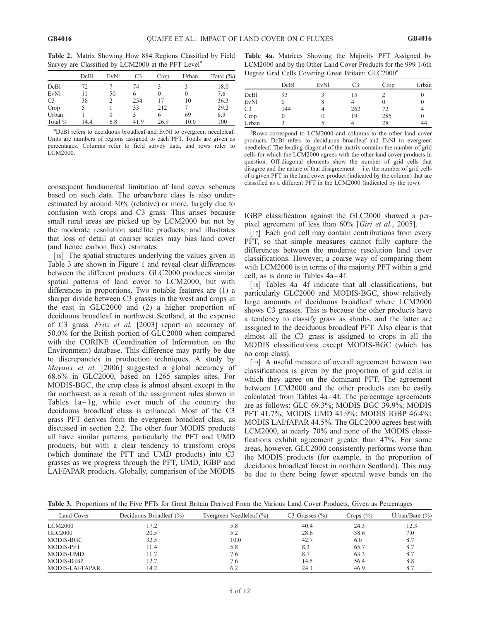Table 2. Matrix Showing How 884 Regions Classified by Field Survey are Classified by LCM2000 at the PFT Level<sup>a</sup>

|                | DcBl | EvNl     | C <sub>3</sub> | Crop     | Urban | Total $(\% )$ |
|----------------|------|----------|----------------|----------|-------|---------------|
| DcB1           | 72   |          | 74             |          |       | 18.0          |
| <b>EvN1</b>    |      | 50       | 6              | $\theta$ |       | 7.6           |
| C <sub>3</sub> | 38   |          | 254            | 17       | 10    | 36.3          |
| Crop           |      |          | 33             | 212      |       | 29.2          |
| Urban          |      | $^{(1)}$ | κ              | 6        | 69    | 8.9           |
| Total %        | 144  | 6.8      | 419            | 26.9     | 10.0  | 100           |

a DcBl refers to deciduous broadleaf and EvNl to evergreen needleleaf. Units are numbers of regions assigned to each PFT. Totals are given as percentages. Columns refer to field survey data, and rows refer to LCM2000.

|  | Table 4a. Matrices Showing the Majority PFT Assigned by        |  |  |  |
|--|----------------------------------------------------------------|--|--|--|
|  | LCM2000 and by the Other Land Cover Products for the 999 1/6th |  |  |  |
|  | Degree Grid Cells Covering Great Britain: GLC2000 <sup>a</sup> |  |  |  |

|       | DcBl | <b>EvNl</b> | C <sub>3</sub> | Crop | Urban |
|-------|------|-------------|----------------|------|-------|
| DcBl  | 93   |             | 15             |      |       |
| EvNl  |      |             |                |      |       |
| C3    | 144  |             | 262            | 72   |       |
| Crop  |      |             | 19             | 285  |       |
| Urban |      |             |                | 28   | 44    |

<sup>a</sup>Rows correspond to LCM2000 and columns to the other land cover products. DcBl refers to deciduous broadleaf and EvNl to evergreen needleleaf. The leading diagonal of the matrix contains the number of grid cells for which the LCM2000 agrees with the other land cover products in question. Off-diagonal elements show the number of grid cells that disagree and the nature of that disagreement – i.e. the number of grid cells of a given PFT in the land cover product (indicated by the column) that are classified as a different PFT in the LCM2000 (indicated by the row).

consequent fundamental limitation of land cover schemes based on such data. The urban/bare class is also underestimated by around 30% (relative) or more, largely due to confusion with crops and C3 grass. This arises because small rural areas are picked up by LCM2000 but not by the moderate resolution satellite products, and illustrates that loss of detail at coarser scales may bias land cover (and hence carbon flux) estimates.

[16] The spatial structures underlying the values given in Table 3 are shown in Figure 1 and reveal clear differences between the different products. GLC2000 produces similar spatial patterns of land cover to LCM2000, but with differences in proportions. Two notable features are (1) a sharper divide between C3 grasses in the west and crops in the east in GLC2000 and (2) a higher proportion of deciduous broadleaf in northwest Scotland, at the expense of C3 grass. Fritz et al. [2003] report an accuracy of 50.0% for the British portion of GLC2000 when compared with the CORINE (Coordination of Information on the Environment) database. This difference may partly be due to discrepancies in production techniques. A study by Mayaux et al. [2006] suggested a global accuracy of 68.6% in GLC2000, based on 1265 samples sites. For MODIS-BGC, the crop class is almost absent except in the far northwest, as a result of the assignment rules shown in Tables  $1a-1g$ , while over much of the country the deciduous broadleaf class is enhanced. Most of the C3 grass PFT derives from the evergreen broadleaf class, as discussed in section 2.2. The other four MODIS products all have similar patterns, particularly the PFT and UMD products, but with a clear tendency to transform crops (which dominate the PFT and UMD products) into C3 grasses as we progress through the PFT, UMD, IGBP and LAI/fAPAR products. Globally, comparison of the MODIS

IGBP classification against the GLC2000 showed a perpixel agreement of less than 60% [Giri et al., 2005].

[17] Each grid cell may contain contributions from every PFT, so that simple measures cannot fully capture the differences between the moderate resolution land cover classifications. However, a coarse way of comparing them with LCM2000 is in terms of the majority PFT within a grid cell, as is done in Tables  $4a-4f$ .

[18] Tables 4a-4f indicate that all classifications, but particularly GLC2000 and MODIS-BGC, show relatively large amounts of deciduous broadleaf where LCM2000 shows C3 grasses. This is because the other products have a tendency to classify grass as shrubs, and the latter are assigned to the deciduous broadleaf PFT. Also clear is that almost all the C3 grass is assigned to crops in all the MODIS classifications except MODIS-BGC (which has no crop class).

[19] A useful measure of overall agreement between two classifications is given by the proportion of grid cells in which they agree on the dominant PFT. The agreement between LCM2000 and the other products can be easily calculated from Tables 4a-4f. The percentage agreements are as follows: GLC 69.3%; MODIS BGC 39.9%; MODIS PFT 41.7%; MODIS UMD 41.9%; MODIS IGBP 46.4%; MODIS LAI/fAPAR 44.5%. The GLC2000 agrees best with LCM2000, at nearly 70% and none of the MODIS classifications exhibit agreement greater than 47%. For some areas, however, GLC2000 consistently performs worse than the MODIS products (for example, in the proportion of deciduous broadleaf forest in northern Scotland). This may be due to there being fewer spectral wave bands on the

Table 3. Proportions of the Five PFTs for Great Britain Derived From the Various Land Cover Products, Given as Percentages

| Land Cover       | Deciduous Broadleaf (%) | Evergreen Needleleaf (%) | $C3$ Grasses $(\%)$ | Crops $(\%)$ | Urban/Bare $(\% )$ |
|------------------|-------------------------|--------------------------|---------------------|--------------|--------------------|
| <b>LCM2000</b>   | 17.2                    | 5.8                      | 40.4                | 24.3         | 12.3               |
| GLC2000          | 20.5                    | 5.2                      | 28.6                | 38.6         | 7.0                |
| MODIS-BGC        | 32.5                    | 10.0                     | 42.7                | 6.0          | 8.7                |
| <b>MODIS-PFT</b> | 11.4                    | 5.8                      | 8.3                 | 65.7         | 8.7                |
| MODIS-UMD        | 11.7                    | 7.6                      | 8.7                 | 63.3         | 8.7                |
| MODIS-IGBP       | 12.7                    | 7.6                      | 14.5                | 56.4         | 8.8                |
| MODIS-LAI/FAPAR  | 14.2                    | 6.2                      | 24.1                | 46.9         | 8.7                |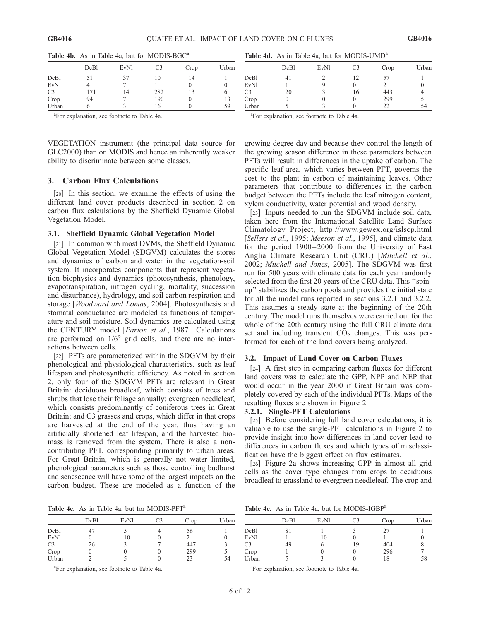|                | DcBl | EvNl | C3  | Crop | Urban |
|----------------|------|------|-----|------|-------|
| DcB1           | 51   | 37   | 10  | 14   |       |
| <b>EvN1</b>    | 4    |      |     |      |       |
| C <sub>3</sub> | 171  | 14   | 282 | 13   | O     |
| Crop           | 94   |      | 190 |      | 13    |
| Urban          | O    |      | 16  |      | 59    |

Table 4b. As in Table 4a, but for MODIS-BGC<sup>a</sup>

a For explanation, see footnote to Table 4a.

VEGETATION instrument (the principal data source for GLC2000) than on MODIS and hence an inherently weaker ability to discriminate between some classes.

# 3. Carbon Flux Calculations

[20] In this section, we examine the effects of using the different land cover products described in section 2 on carbon flux calculations by the Sheffield Dynamic Global Vegetation Model.

### 3.1. Sheffield Dynamic Global Vegetation Model

[21] In common with most DVMs, the Sheffield Dynamic Global Vegetation Model (SDGVM) calculates the stores and dynamics of carbon and water in the vegetation-soil system. It incorporates components that represent vegetation biophysics and dynamics (photosynthesis, phenology, evapotranspiration, nitrogen cycling, mortality, succession and disturbance), hydrology, and soil carbon respiration and storage [Woodward and Lomas, 2004]. Photosynthesis and stomatal conductance are modeled as functions of temperature and soil moisture. Soil dynamics are calculated using the CENTURY model [*Parton et al.*, 1987]. Calculations are performed on  $1/6^\circ$  grid cells, and there are no interactions between cells.

[22] PFTs are parameterized within the SDGVM by their phenological and physiological characteristics, such as leaf lifespan and photosynthetic efficiency. As noted in section 2, only four of the SDGVM PFTs are relevant in Great Britain: deciduous broadleaf, which consists of trees and shrubs that lose their foliage annually; evergreen needleleaf, which consists predominantly of coniferous trees in Great Britain; and C3 grasses and crops, which differ in that crops are harvested at the end of the year, thus having an artificially shortened leaf lifespan, and the harvested biomass is removed from the system. There is also a noncontributing PFT, corresponding primarily to urban areas. For Great Britain, which is generally not water limited, phenological parameters such as those controlling budburst and senescence will have some of the largest impacts on the carbon budget. These are modeled as a function of the

Table 4d. As in Table 4a, but for MODIS-UMD<sup>a</sup>

|                | DcBl | EvNl | C3 | Crop | Urban |
|----------------|------|------|----|------|-------|
| DcBl           |      |      | 12 | 57   |       |
| <b>EvNl</b>    |      |      |    |      |       |
| C <sub>3</sub> | 20   |      | 16 | 443  |       |
| Crop           |      |      |    | 299  |       |
| Urban          |      |      |    | 22   | 54    |

a For explanation, see footnote to Table 4a.

growing degree day and because they control the length of the growing season difference in these parameters between PFTs will result in differences in the uptake of carbon. The specific leaf area, which varies between PFT, governs the cost to the plant in carbon of maintaining leaves. Other parameters that contribute to differences in the carbon budget between the PFTs include the leaf nitrogen content, xylem conductivity, water potential and wood density.

[23] Inputs needed to run the SDGVM include soil data, taken here from the International Satellite Land Surface Climatology Project, http://www.gewex.org/islscp.html [Sellers et al., 1995; Meeson et al., 1995], and climate data for the period 1900-2000 from the University of East Anglia Climate Research Unit (CRU) [Mitchell et al., 2002; Mitchell and Jones, 2005]. The SDGVM was first run for 500 years with climate data for each year randomly selected from the first 20 years of the CRU data. This ''spinup'' stabilizes the carbon pools and provides the initial state for all the model runs reported in sections 3.2.1 and 3.2.2. This assumes a steady state at the beginning of the 20th century. The model runs themselves were carried out for the whole of the 20th century using the full CRU climate data set and including transient  $CO<sub>2</sub>$  changes. This was performed for each of the land covers being analyzed.

# 3.2. Impact of Land Cover on Carbon Fluxes

[24] A first step in comparing carbon fluxes for different land covers was to calculate the GPP, NPP and NEP that would occur in the year 2000 if Great Britain was completely covered by each of the individual PFTs. Maps of the resulting fluxes are shown in Figure 2.

### 3.2.1. Single-PFT Calculations

[25] Before considering full land cover calculations, it is valuable to use the single-PFT calculations in Figure 2 to provide insight into how differences in land cover lead to differences in carbon fluxes and which types of misclassification have the biggest effect on flux estimates.

[26] Figure 2a shows increasing GPP in almost all grid cells as the cover type changes from crops to deciduous broadleaf to grassland to evergreen needleleaf. The crop and

Table 4c. As in Table 4a, but for MODIS-PFT<sup>a</sup>

Table 4e. As in Table 4a, but for MODIS-IGBP<sup>a</sup>

|                | DcBl | EvN1 | C3 | Crop | Urban |              | DcBl | <b>EvNl</b> | $\cap$ | Crop        | Urban |
|----------------|------|------|----|------|-------|--------------|------|-------------|--------|-------------|-------|
| DcBl           | 47   |      |    | 56   |       | DcBl         | 81   |             |        | $\sim$<br>∼ |       |
| <b>EvNl</b>    |      | 10   |    | ∸    |       | <b>EvNl</b>  |      | 10          |        |             |       |
| C <sub>3</sub> | 26   |      |    | 447  |       | $\sim$<br>U3 | 49   |             | 19     | 404         |       |
| Crop           |      |      |    | 299  |       | Crop         |      |             |        | 296         |       |
| Urban          |      |      |    | 23   | 54    | Urban        |      |             |        | 18          | 58    |

a For explanation, see footnote to Table 4a.

a For explanation, see footnote to Table 4a.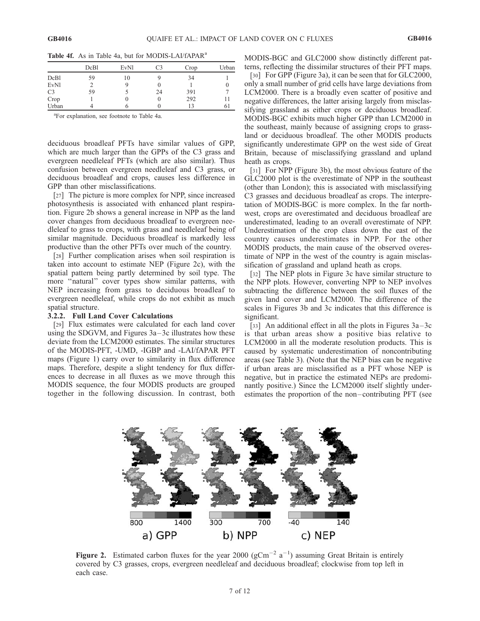Table 4f. As in Table 4a, but for MODIS-LAI/fAPAR<sup>a</sup>

|                | DcB1 | <b>EvNl</b> | C3       | Crop | Urban |
|----------------|------|-------------|----------|------|-------|
| DcB1           | 59   | 10          | ч        | 34   |       |
| <b>EvN1</b>    |      |             | O        |      |       |
| C <sub>3</sub> | 59   |             | 24       | 391  |       |
| Crop           |      |             | $\theta$ | 292  |       |
| Urban          |      |             |          | 13   | 61    |

a For explanation, see footnote to Table 4a.

deciduous broadleaf PFTs have similar values of GPP, which are much larger than the GPPs of the C3 grass and evergreen needleleaf PFTs (which are also similar). Thus confusion between evergreen needleleaf and C3 grass, or deciduous broadleaf and crops, causes less difference in GPP than other misclassifications.

[27] The picture is more complex for NPP, since increased photosynthesis is associated with enhanced plant respiration. Figure 2b shows a general increase in NPP as the land cover changes from deciduous broadleaf to evergreen needleleaf to grass to crops, with grass and needleleaf being of similar magnitude. Deciduous broadleaf is markedly less productive than the other PFTs over much of the country.

[28] Further complication arises when soil respiration is taken into account to estimate NEP (Figure 2c), with the spatial pattern being partly determined by soil type. The more ''natural'' cover types show similar patterns, with NEP increasing from grass to deciduous broadleaf to evergreen needleleaf, while crops do not exhibit as much spatial structure.

### 3.2.2. Full Land Cover Calculations

[29] Flux estimates were calculated for each land cover using the SDGVM, and Figures 3a–3c illustrates how these deviate from the LCM2000 estimates. The similar structures of the MODIS-PFT, -UMD, -IGBP and -LAI/fAPAR PFT maps (Figure 1) carry over to similarity in flux difference maps. Therefore, despite a slight tendency for flux differences to decrease in all fluxes as we move through this MODIS sequence, the four MODIS products are grouped together in the following discussion. In contrast, both

MODIS-BGC and GLC2000 show distinctly different patterns, reflecting the dissimilar structures of their PFT maps.

[30] For GPP (Figure 3a), it can be seen that for GLC2000, only a small number of grid cells have large deviations from LCM2000. There is a broadly even scatter of positive and negative differences, the latter arising largely from misclassifying grassland as either crops or deciduous broadleaf. MODIS-BGC exhibits much higher GPP than LCM2000 in the southeast, mainly because of assigning crops to grassland or deciduous broadleaf. The other MODIS products significantly underestimate GPP on the west side of Great Britain, because of misclassifying grassland and upland heath as crops.

[31] For NPP (Figure 3b), the most obvious feature of the GLC2000 plot is the overestimate of NPP in the southeast (other than London); this is associated with misclassifying C3 grasses and deciduous broadleaf as crops. The interpretation of MODIS-BGC is more complex. In the far northwest, crops are overestimated and deciduous broadleaf are underestimated, leading to an overall overestimate of NPP. Underestimation of the crop class down the east of the country causes underestimates in NPP. For the other MODIS products, the main cause of the observed overestimate of NPP in the west of the country is again misclassification of grassland and upland heath as crops.

[32] The NEP plots in Figure 3c have similar structure to the NPP plots. However, converting NPP to NEP involves subtracting the difference between the soil fluxes of the given land cover and LCM2000. The difference of the scales in Figures 3b and 3c indicates that this difference is significant.

[33] An additional effect in all the plots in Figures  $3a-3c$ is that urban areas show a positive bias relative to LCM2000 in all the moderate resolution products. This is caused by systematic underestimation of noncontributing areas (see Table 3). (Note that the NEP bias can be negative if urban areas are misclassified as a PFT whose NEP is negative, but in practice the estimated NEPs are predominantly positive.) Since the LCM2000 itself slightly underestimates the proportion of the non–contributing PFT (see



Figure 2. Estimated carbon fluxes for the year 2000 ( $gCm^{-2}$  a<sup>-1</sup>) assuming Great Britain is entirely covered by C3 grasses, crops, evergreen needleleaf and deciduous broadleaf; clockwise from top left in each case.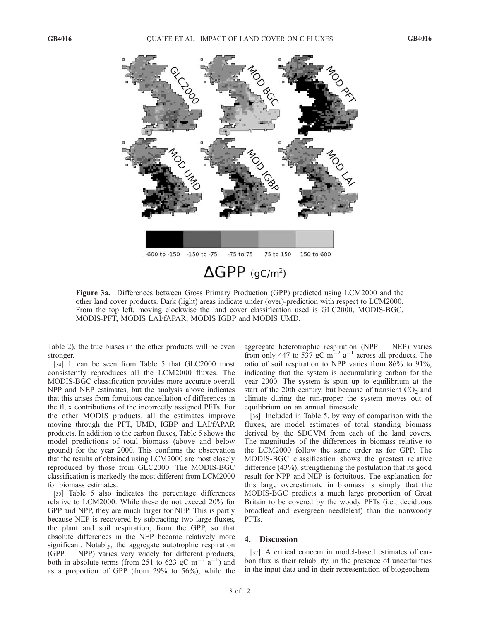

Figure 3a. Differences between Gross Primary Production (GPP) predicted using LCM2000 and the other land cover products. Dark (light) areas indicate under (over)-prediction with respect to LCM2000. From the top left, moving clockwise the land cover classification used is GLC2000, MODIS-BGC, MODIS-PFT, MODIS LAI/fAPAR, MODIS IGBP and MODIS UMD.

Table 2), the true biases in the other products will be even stronger.

[34] It can be seen from Table 5 that GLC2000 most consistently reproduces all the LCM2000 fluxes. The MODIS-BGC classification provides more accurate overall NPP and NEP estimates, but the analysis above indicates that this arises from fortuitous cancellation of differences in the flux contributions of the incorrectly assigned PFTs. For the other MODIS products, all the estimates improve moving through the PFT, UMD, IGBP and LAI/fAPAR products. In addition to the carbon fluxes, Table 5 shows the model predictions of total biomass (above and below ground) for the year 2000. This confirms the observation that the results of obtained using LCM2000 are most closely reproduced by those from GLC2000. The MODIS-BGC classification is markedly the most different from LCM2000 for biomass estimates.

[35] Table 5 also indicates the percentage differences relative to LCM2000. While these do not exceed 20% for GPP and NPP, they are much larger for NEP. This is partly because NEP is recovered by subtracting two large fluxes, the plant and soil respiration, from the GPP, so that absolute differences in the NEP become relatively more significant. Notably, the aggregate autotrophic respiration  $(GPP - NPP)$  varies very widely for different products, both in absolute terms (from 251 to 623 gC m<sup>-2</sup> a<sup>-1</sup>) and as a proportion of GPP (from 29% to 56%), while the aggregate heterotrophic respiration ( $NPP - NEP$ ) varies from only 447 to 537 gC m<sup>-2</sup> a<sup>-1</sup> across all products. The ratio of soil respiration to NPP varies from 86% to 91%, indicating that the system is accumulating carbon for the year 2000. The system is spun up to equilibrium at the start of the 20th century, but because of transient  $CO<sub>2</sub>$  and climate during the run-proper the system moves out of equilibrium on an annual timescale.

[36] Included in Table 5, by way of comparison with the fluxes, are model estimates of total standing biomass derived by the SDGVM from each of the land covers. The magnitudes of the differences in biomass relative to the LCM2000 follow the same order as for GPP. The MODIS-BGC classification shows the greatest relative difference (43%), strengthening the postulation that its good result for NPP and NEP is fortuitous. The explanation for this large overestimate in biomass is simply that the MODIS-BGC predicts a much large proportion of Great Britain to be covered by the woody PFTs (i.e., deciduous broadleaf and evergreen needleleaf) than the nonwoody PFTs.

### 4. Discussion

[37] A critical concern in model-based estimates of carbon flux is their reliability, in the presence of uncertainties in the input data and in their representation of biogeochem-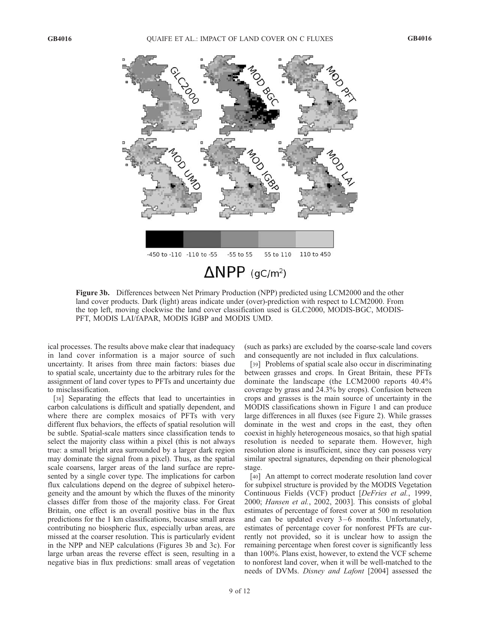

Figure 3b. Differences between Net Primary Production (NPP) predicted using LCM2000 and the other land cover products. Dark (light) areas indicate under (over)-prediction with respect to LCM2000. From the top left, moving clockwise the land cover classification used is GLC2000, MODIS-BGC, MODIS-PFT, MODIS LAI/fAPAR, MODIS IGBP and MODIS UMD.

ical processes. The results above make clear that inadequacy in land cover information is a major source of such uncertainty. It arises from three main factors: biases due to spatial scale, uncertainty due to the arbitrary rules for the assignment of land cover types to PFTs and uncertainty due to misclassification.

[38] Separating the effects that lead to uncertainties in carbon calculations is difficult and spatially dependent, and where there are complex mosaics of PFTs with very different flux behaviors, the effects of spatial resolution will be subtle. Spatial-scale matters since classification tends to select the majority class within a pixel (this is not always true: a small bright area surrounded by a larger dark region may dominate the signal from a pixel). Thus, as the spatial scale coarsens, larger areas of the land surface are represented by a single cover type. The implications for carbon flux calculations depend on the degree of subpixel heterogeneity and the amount by which the fluxes of the minority classes differ from those of the majority class. For Great Britain, one effect is an overall positive bias in the flux predictions for the 1 km classifications, because small areas contributing no biospheric flux, especially urban areas, are missed at the coarser resolution. This is particularly evident in the NPP and NEP calculations (Figures 3b and 3c). For large urban areas the reverse effect is seen, resulting in a negative bias in flux predictions: small areas of vegetation

(such as parks) are excluded by the coarse-scale land covers and consequently are not included in flux calculations.

[39] Problems of spatial scale also occur in discriminating between grasses and crops. In Great Britain, these PFTs dominate the landscape (the LCM2000 reports 40.4% coverage by grass and 24.3% by crops). Confusion between crops and grasses is the main source of uncertainty in the MODIS classifications shown in Figure 1 and can produce large differences in all fluxes (see Figure 2). While grasses dominate in the west and crops in the east, they often coexist in highly heterogeneous mosaics, so that high spatial resolution is needed to separate them. However, high resolution alone is insufficient, since they can possess very similar spectral signatures, depending on their phenological stage.

[40] An attempt to correct moderate resolution land cover for subpixel structure is provided by the MODIS Vegetation Continuous Fields (VCF) product [DeFries et al., 1999, 2000; Hansen et al., 2002, 2003]. This consists of global estimates of percentage of forest cover at 500 m resolution and can be updated every  $3-6$  months. Unfortunately, estimates of percentage cover for nonforest PFTs are currently not provided, so it is unclear how to assign the remaining percentage when forest cover is significantly less than 100%. Plans exist, however, to extend the VCF scheme to nonforest land cover, when it will be well-matched to the needs of DVMs. Disney and Lafont [2004] assessed the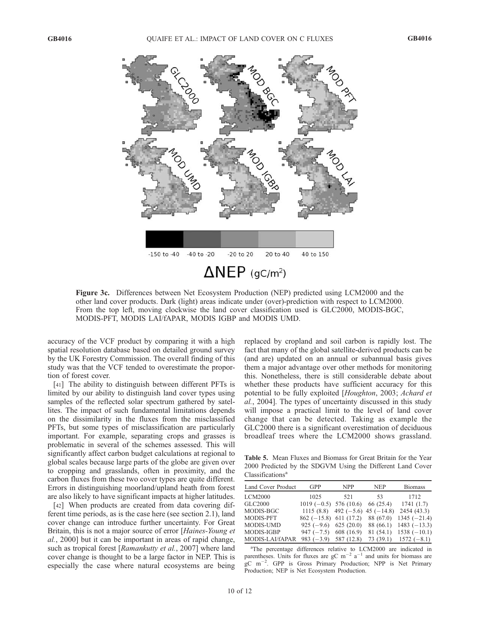

Figure 3c. Differences between Net Ecosystem Production (NEP) predicted using LCM2000 and the other land cover products. Dark (light) areas indicate under (over)-prediction with respect to LCM2000. From the top left, moving clockwise the land cover classification used is GLC2000, MODIS-BGC, MODIS-PFT, MODIS LAI/fAPAR, MODIS IGBP and MODIS UMD.

accuracy of the VCF product by comparing it with a high spatial resolution database based on detailed ground survey by the UK Forestry Commission. The overall finding of this study was that the VCF tended to overestimate the proportion of forest cover.

[41] The ability to distinguish between different PFTs is limited by our ability to distinguish land cover types using samples of the reflected solar spectrum gathered by satellites. The impact of such fundamental limitations depends on the dissimilarity in the fluxes from the misclassified PFTs, but some types of misclassification are particularly important. For example, separating crops and grasses is problematic in several of the schemes assessed. This will significantly affect carbon budget calculations at regional to global scales because large parts of the globe are given over to cropping and grasslands, often in proximity, and the carbon fluxes from these two cover types are quite different. Errors in distinguishing moorland/upland heath from forest are also likely to have significant impacts at higher latitudes.

[42] When products are created from data covering different time periods, as is the case here (see section 2.1), land cover change can introduce further uncertainty. For Great Britain, this is not a major source of error [Haines-Young et al., 2000] but it can be important in areas of rapid change, such as tropical forest [Ramankutty et al., 2007] where land cover change is thought to be a large factor in NEP. This is especially the case where natural ecosystems are being replaced by cropland and soil carbon is rapidly lost. The fact that many of the global satellite-derived products can be (and are) updated on an annual or subannual basis gives them a major advantage over other methods for monitoring this. Nonetheless, there is still considerable debate about whether these products have sufficient accuracy for this potential to be fully exploited [Houghton, 2003; Achard et al., 2004]. The types of uncertainty discussed in this study will impose a practical limit to the level of land cover change that can be detected. Taking as example the GLC2000 there is a significant overestimation of deciduous broadleaf trees where the LCM2000 shows grassland.

Table 5. Mean Fluxes and Biomass for Great Britain for the Year 2000 Predicted by the SDGVM Using the Different Land Cover  $Classifications<sup>a</sup>$ 

| Land Cover Product | <b>GPP</b>                         | <b>NPP</b>                       | <b>NEP</b> | <b>Biomass</b>          |
|--------------------|------------------------------------|----------------------------------|------------|-------------------------|
| <b>LCM2000</b>     | 1025                               | 521                              | 53         | 1712                    |
| GLC2000            | $1019(-0.5)$ 576 (10.6) 66 (25.4)  |                                  |            | 1741(1.7)               |
| MODIS-BGC          |                                    | 1115 (8.8) 492 (-5.6) 45 (-14.8) |            | 2454 (43.3)             |
| MODIS-PFT          | $862 (-15.8) 611 (17.2) 88 (67.0)$ |                                  |            | $1345 (-21.4)$          |
| <b>MODIS-UMD</b>   | $925 (-9.6) 625 (20.0) 88 (66.1)$  |                                  |            | $1483 (-13.3)$          |
| MODIS-IGBP         | $947 (-7.5) 608 (16.9)$            |                                  | 81(54.1)   | $1538(-10.1)$           |
| MODIS-LAI/fAPAR    | $983 (-3.9) 587 (12.8)$            |                                  |            | $73(39.1)$ $1572(-8.1)$ |

<sup>a</sup>The percentage differences relative to LCM2000 are indicated in parentheses. Units for fluxes are  $gC$  m<sup>-2</sup> a<sup>-1</sup> and units for biomass are gC m<sup>-2</sup>. GPP is Gross Primary Production; NPP is Net Primary Production; NEP is Net Ecosystem Production.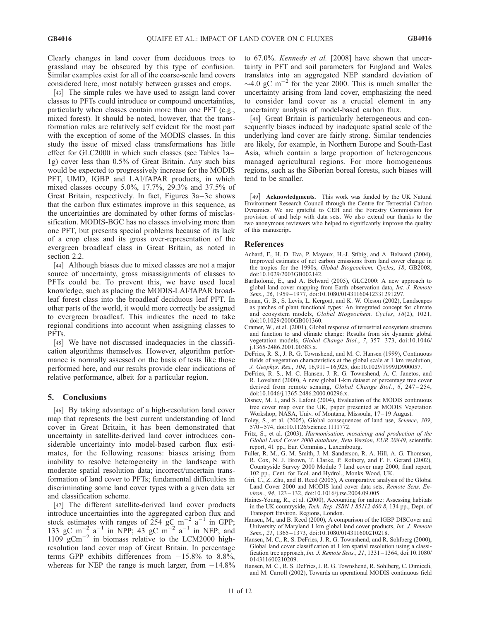Clearly changes in land cover from deciduous trees to grassland may be obscured by this type of confusion. Similar examples exist for all of the coarse-scale land covers considered here, most notably between grasses and crops.

[43] The simple rules we have used to assign land cover classes to PFTs could introduce or compound uncertainties, particularly when classes contain more than one PFT (e.g., mixed forest). It should be noted, however, that the transformation rules are relatively self evident for the most part with the exception of some of the MODIS classes. In this study the issue of mixed class transformations has little effect for GLC2000 in which such classes (see Tables 1a – 1g) cover less than 0.5% of Great Britain. Any such bias would be expected to progressively increase for the MODIS PFT, UMD, IGBP and LAI/fAPAR products, in which mixed classes occupy 5.0%, 17.7%, 29.3% and 37.5% of Great Britain, respectively. In fact, Figures 3a–3c shows that the carbon flux estimates improve in this sequence, as the uncertainties are dominated by other forms of misclassification. MODIS-BGC has no classes involving more than one PFT, but presents special problems because of its lack of a crop class and its gross over-representation of the evergreen broadleaf class in Great Britain, as noted in section 2.2.

[44] Although biases due to mixed classes are not a major source of uncertainty, gross misassignments of classes to PFTs could be. To prevent this, we have used local knowledge, such as placing the MODIS-LAI/fAPAR broadleaf forest class into the broadleaf deciduous leaf PFT. In other parts of the world, it would more correctly be assigned to evergreen broadleaf. This indicates the need to take regional conditions into account when assigning classes to PFTs.

[45] We have not discussed inadequacies in the classification algorithms themselves. However, algorithm performance is normally assessed on the basis of tests like those performed here, and our results provide clear indications of relative performance, albeit for a particular region.

### 5. Conclusions

[46] By taking advantage of a high-resolution land cover map that represents the best current understanding of land cover in Great Britain, it has been demonstrated that uncertainty in satellite-derived land cover introduces considerable uncertainty into model-based carbon flux estimates, for the following reasons: biases arising from inability to resolve heterogeneity in the landscape with moderate spatial resolution data; incorrect/uncertain transformation of land cover to PFTs; fundamental difficulties in discriminating some land cover types with a given data set and classification scheme.

[47] The different satellite-derived land cover products introduce uncertainties into the aggregated carbon flux and stock estimates with ranges of  $254$  gC m<sup>-2</sup> a<sup>-1</sup> in GPP; 133 gC m<sup>-2</sup> a<sup>-1</sup> in NPP; 43 gC m<sup>-2</sup> a<sup>-1</sup> in NEP; and  $1109 \text{ g} \text{Cm}^{-2}$  in biomass relative to the LCM2000 highresolution land cover map of Great Britain. In percentage terms GPP exhibits differences from  $-15.8\%$  to 8.8%, whereas for NEP the range is much larger, from  $-14.8\%$  to 67.0%. Kennedy et al. [2008] have shown that uncertainty in PFT and soil parameters for England and Wales translates into an aggregated NEP standard deviation of  $\sim$ 4.0 gC m<sup>-2</sup> for the year 2000. This is much smaller the uncertainty arising from land cover, emphasizing the need to consider land cover as a crucial element in any uncertainty analysis of model-based carbon flux.

[48] Great Britain is particularly heterogeneous and consequently biases induced by inadequate spatial scale of the underlying land cover are fairly strong. Similar tendencies are likely, for example, in Northern Europe and South-East Asia, which contain a large proportion of heterogeneous managed agricultural regions. For more homogeneous regions, such as the Siberian boreal forests, such biases will tend to be smaller.

[49] Acknowledgments. This work was funded by the UK Natural Environment Research Council through the Centre for Terrestrial Carbon Dynamics. We are grateful to CEH and the Forestry Commission for provision of and help with data sets. We also extend our thanks to the two anonymous reviewers who helped to significantly improve the quality of this manuscript.

# References

- Achard, F., H. D. Eva, P. Mayaux, H.-J. Stibig, and A. Belward (2004), Improved estimates of net carbon emissions from land cover change in the tropics for the 1990s, Global Biogeochem. Cycles, 18, GB2008, doi:10.1029/2003GB002142.
- Bartholomé, E., and A. Belward (2005), GLC2000: A new approach to global land cover mapping from Earth observation data, Int. J. Remote Sens., 26, 1959 – 1977, doi:10.1080/01431160412331291297.
- Bonan, G. B., S. Levis, L. Kergoat, and K. W. Oleson (2002), Landscapes as patches of plant functional types: An integrated concept for climate and ecosystem models, Global Biogeochem. Cycles, 16(2), 1021, doi:10.1029/2000GB001360.
- Cramer, W., et al. (2001), Global response of terrestrial ecosystem structure and function to and climate change: Results from six dynamic global vegetation models, Global Change Biol., 7, 357 – 373, doi:10.1046/ j.1365-2486.2001.00383.x.
- DeFries, R. S., J. R. G. Townshend, and M. C. Hansen (1999), Continuous fields of vegetation characteristics at the global scale at 1 km resolution, J. Geophys. Res., 104, 16,911 – 16,925, doi:10.1029/1999JD900057.
- DeFries, R. S., M. C. Hansen, J. R. G. Townshend, A. C. Janetos, and R. Loveland (2000), A new global 1-km dataset of percentage tree cover derived from remote sensing, Global Change Biol., 6, 247-254, doi:10.1046/j.1365-2486.2000.00296.x.
- Disney, M. I., and S. Lafont (2004), Evaluation of the MODIS continuous tree cover map over the UK, paper presented at MODIS Vegetation Workshop, NASA, Univ. of Montana, Missoula, 17 – 19 August.
- Foley, S., et al. (2005), Global consequences of land use, Science, 309, 570 – 574, doi:10.1126/science.1111772.
- Fritz, S., et al. (2003), Harmonisation, mosaicing and production of the Global Land Cover 2000 database, Beta Version, EUR 20849, scientific report, 41 pp., Eur. Commiss., Luxembourg.
- Fuller, R. M., G. M. Smith, J. M. Sanderson, R. A. Hill, A. G. Thomson, R. Cox, N. J. Brown, T. Clarke, P. Rothery, and F. F. Gerard (2002), Countryside Survey 2000 Module 7 land cover map 2000, final report, 102 pp., Cent. for Ecol. and Hydrol., Monks Wood, UK.
- Giri, C., Z. Zhu, and B. Reed (2005), A comparative analysis of the Global Land Cover 2000 and MODIS land cover data sets, Remote Sens. Environ., 94, 123-132, doi:10.1016/j.rse.2004.09.005.
- Haines-Young, R., et al. (2000), Accounting for nature: Assessing habitats in the UK countryside, Tech. Rep. ISBN 1 85112 460 8, 134 pp., Dept. of Transport Environ. Regions, London.
- Hansen, M., and B. Reed (2000), A comparison of the IGBP DISCover and University of Maryland 1 km global land cover products, Int. J. Remote Sens., 21, 1365 – 1373, doi:10.1080/014311600210218.
- Hansen, M. C., R. S. DeFries, J. R. G. Townshend, and R. Sohlberg (2000), Global land cover classification at 1 km spatial resolution using a classification tree approach, Int. J. Remote Sens., 21, 1331 – 1364, doi:10.1080/ 014311600210209.
- Hansen, M. C., R. S. DeFries, J. R. G. Townshend, R. Sohlberg, C. Dimiceli, and M. Carroll (2002), Towards an operational MODIS continuous field